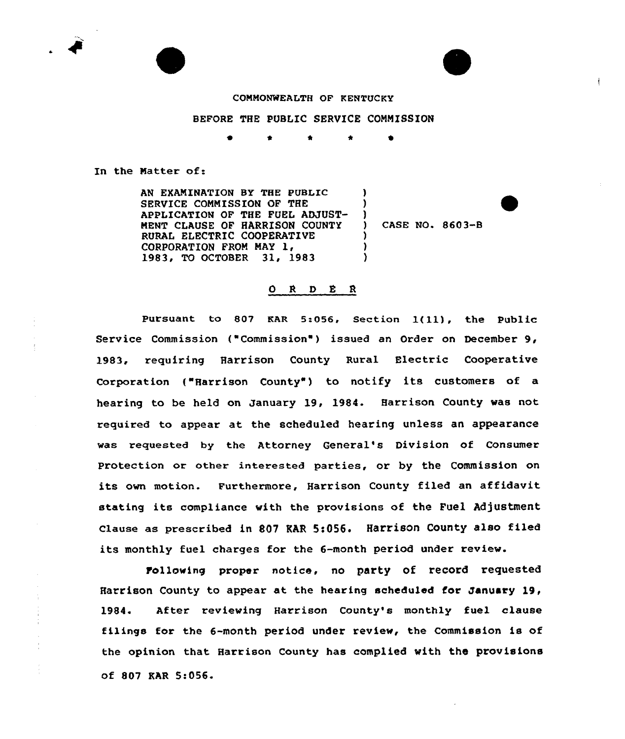

## COMMONWEALTH OF KENTUCKY

## BEFORE THE PUBLIC SERVICE COMMISSION

\* 0

 $\mathbf{I}$ )  $\left\{ \begin{array}{c} 1 \end{array} \right\}$ 

> ) )  $\lambda$

In the Matter of:

AN EXAMINATION BY THE PUBLIC SERVICE COMMISSION OF THE APPLICATION OF THE FUEL ADJUST-MENT CIAUSE OF HARRISON COUNTY RURAL ELECTRIC COOPERATIVE CORPORATION FROM MAY 1, 1983, TO OCTOBER 31, 1983

CASE NO. 8603-B

## O R D E R

Pursuant to <sup>807</sup> KAR 5:056, Section l(ll), the Public Service Commission ("Commission") issued an Order on December 9, 1983, requiring Harrison County Rural Electric Cooperative Corporation ("Harrison County") to notify its customers of a hearing to be held on January 19, 1984. Harrison County was not required to appear at the scheduled hearing unless an appearance was requested by the Attorney General's Division of Consumer Protection or other interested parties, or by the Commission on its own motion. Furthermore, Harrison County filed an affidavit stating its compliance with the provisions of the Fuel Adjustment Clause as prescribed in 807 EAR 5:056. Harrison County also filed its monthly fuel charges for the 6-month period under review.

tollowing proper notice, no party of record requested Harrison County to appear at the hearing scheduled for January 19, 1984. After reviewing Harrison County's monthly fuel clause filings for the 6-month period under review, the Commission is of the opinion that Harrison County has complied with the provisions of 807 KAR 5:056.